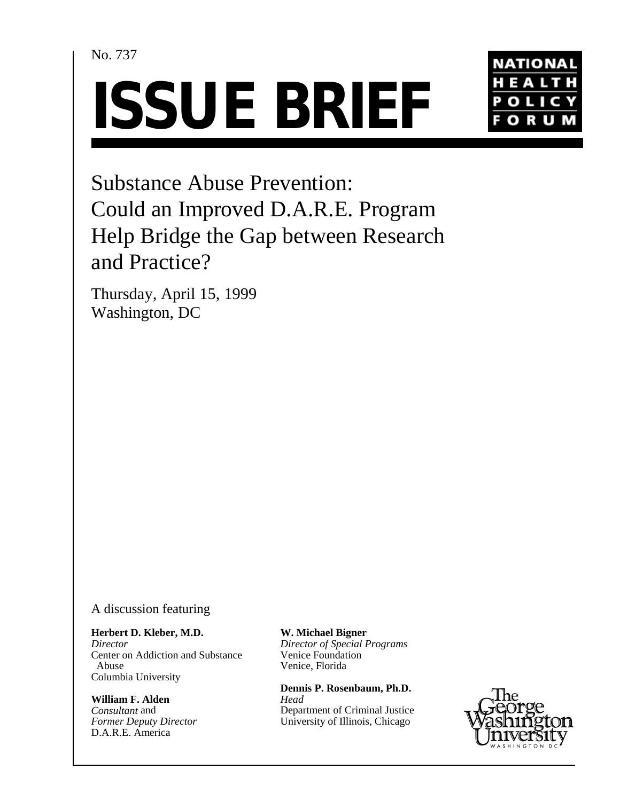# No. 737





Substance Abuse Prevention: Could an Improved D.A.R.E. Program Help Bridge the Gap between Research and Practice?

Thursday, April 15, 1999 Washington, DC

A discussion featuring

**Herbert D. Kleber, M.D.** *Director* Center on Addiction and Substance Abuse

**William F. Alden** *Consultant* and *Former Deputy Director* D.A.R.E. America

Columbia University

**W. Michael Bigner** *Director of Special Programs* Venice Foundation Venice, Florida

**Dennis P. Rosenbaum, Ph.D.** *Head* Department of Criminal Justice University of Illinois, Chicago

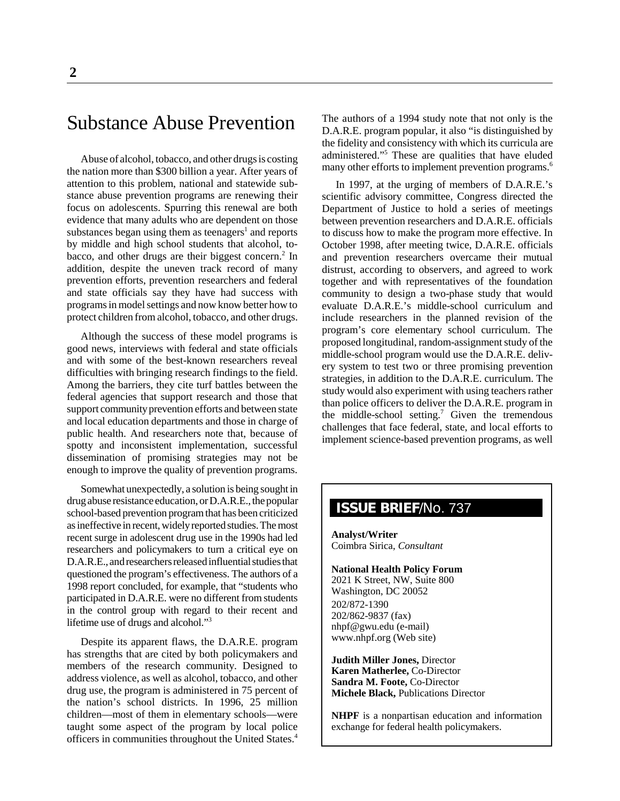# Substance Abuse Prevention

Abuse of alcohol, tobacco, and other drugs is costing the nation more than \$300 billion a year. After years of attention to this problem, national and statewide substance abuse prevention programs are renewing their focus on adolescents. Spurring this renewal are both evidence that many adults who are dependent on those substances began using them as teenagers<sup>1</sup> and reports by middle and high school students that alcohol, tobacco, and other drugs are their biggest concern.<sup>2</sup> In addition, despite the uneven track record of many prevention efforts, prevention researchers and federal and state officials say they have had success with programs in model settings and now know better how to protect children from alcohol, tobacco, and other drugs.

Although the success of these model programs is good news, interviews with federal and state officials and with some of the best-known researchers reveal difficulties with bringing research findings to the field. Among the barriers, they cite turf battles between the federal agencies that support research and those that support community prevention efforts and between state and local education departments and those in charge of public health. And researchers note that, because of spotty and inconsistent implementation, successful dissemination of promising strategies may not be enough to improve the quality of prevention programs.

Somewhat unexpectedly, a solution is being sought in drug abuse resistance education, or D.A.R.E., the popular school-based prevention program that has been criticized as ineffective in recent, widely reported studies. The most recent surge in adolescent drug use in the 1990s had led researchers and policymakers to turn a critical eye on D.A.R.E., and researchers released influential studies that questioned the program's effectiveness. The authors of a 1998 report concluded, for example, that "students who participated in D.A.R.E. were no different from students in the control group with regard to their recent and lifetime use of drugs and alcohol."3

Despite its apparent flaws, the D.A.R.E. program has strengths that are cited by both policymakers and members of the research community. Designed to address violence, as well as alcohol, tobacco, and other drug use, the program is administered in 75 percent of the nation's school districts. In 1996, 25 million children—most of them in elementary schools—were taught some aspect of the program by local police officers in communities throughout the United States.4

The authors of a 1994 study note that not only is the D.A.R.E. program popular, it also "is distinguished by the fidelity and consistency with which its curricula are administered."5 These are qualities that have eluded many other efforts to implement prevention programs.<sup>6</sup>

In 1997, at the urging of members of D.A.R.E.'s scientific advisory committee, Congress directed the Department of Justice to hold a series of meetings between prevention researchers and D.A.R.E. officials to discuss how to make the program more effective. In October 1998, after meeting twice, D.A.R.E. officials and prevention researchers overcame their mutual distrust, according to observers, and agreed to work together and with representatives of the foundation community to design a two-phase study that would evaluate D.A.R.E.'s middle-school curriculum and include researchers in the planned revision of the program's core elementary school curriculum. The proposed longitudinal, random-assignment study of the middle-school program would use the D.A.R.E. delivery system to test two or three promising prevention strategies, in addition to the D.A.R.E. curriculum. The study would also experiment with using teachers rather than police officers to deliver the D.A.R.E. program in the middle-school setting.<sup>7</sup> Given the tremendous challenges that face federal, state, and local efforts to implement science-based prevention programs, as well

# **ISSUE BRIEF**/No. 737

**Analyst/Writer** Coimbra Sirica, *Consultant*

**National Health Policy Forum** 2021 K Street, NW, Suite 800 Washington, DC 20052 202/872-1390 202/862-9837 (fax) nhpf@gwu.edu (e-mail) www.nhpf.org (Web site)

**Judith Miller Jones,** Director **Karen Matherlee,** Co-Director **Sandra M. Foote,** Co-Director **Michele Black,** Publications Director

**NHPF** is a nonpartisan education and information exchange for federal health policymakers.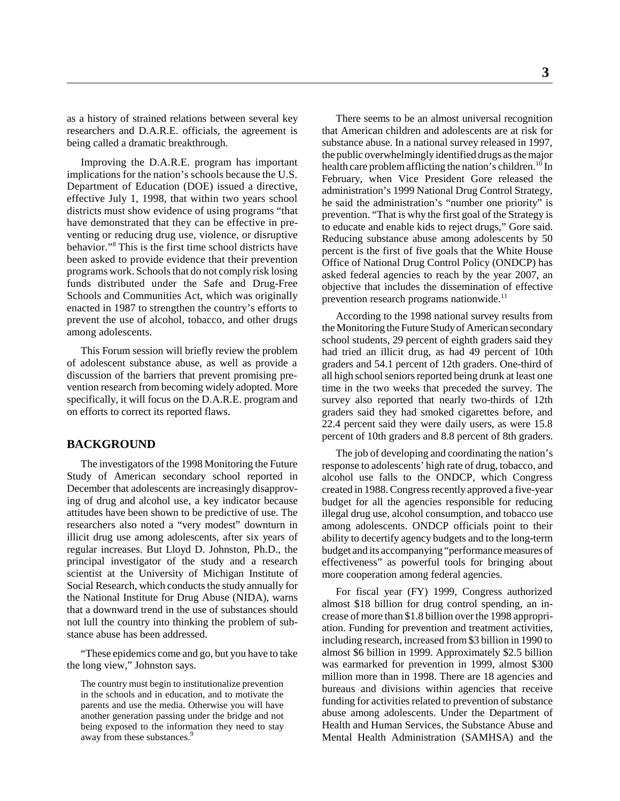as a history of strained relations between several key researchers and D.A.R.E. officials, the agreement is being called a dramatic breakthrough.

Improving the D.A.R.E. program has important implications for the nation's schools because the U.S. Department of Education (DOE) issued a directive, effective July 1, 1998, that within two years school districts must show evidence of using programs "that have demonstrated that they can be effective in preventing or reducing drug use, violence, or disruptive behavior."8 This is the first time school districts have been asked to provide evidence that their prevention programs work. Schools that do not comply risk losing funds distributed under the Safe and Drug-Free Schools and Communities Act, which was originally enacted in 1987 to strengthen the country's efforts to prevent the use of alcohol, tobacco, and other drugs among adolescents.

This Forum session will briefly review the problem of adolescent substance abuse, as well as provide a discussion of the barriers that prevent promising prevention research from becoming widely adopted. More specifically, it will focus on the D.A.R.E. program and on efforts to correct its reported flaws.

## **BACKGROUND**

The investigators of the 1998 Monitoring the Future Study of American secondary school reported in December that adolescents are increasingly disapproving of drug and alcohol use, a key indicator because attitudes have been shown to be predictive of use. The researchers also noted a "very modest" downturn in illicit drug use among adolescents, after six years of regular increases. But Lloyd D. Johnston, Ph.D., the principal investigator of the study and a research scientist at the University of Michigan Institute of Social Research, which conducts the study annually for the National Institute for Drug Abuse (NIDA), warns that a downward trend in the use of substances should not lull the country into thinking the problem of substance abuse has been addressed.

"These epidemics come and go, but you have to take the long view," Johnston says.

The country must begin to institutionalize prevention in the schools and in education, and to motivate the parents and use the media. Otherwise you will have another generation passing under the bridge and not being exposed to the information they need to stay away from these substances.<sup>9</sup>

There seems to be an almost universal recognition that American children and adolescents are at risk for substance abuse. In a national survey released in 1997, the public overwhelmingly identified drugs as the major health care problem afflicting the nation's children.<sup>10</sup> In February, when Vice President Gore released the administration's 1999 National Drug Control Strategy, he said the administration's "number one priority" is prevention. "That is why the first goal of the Strategy is to educate and enable kids to reject drugs," Gore said. Reducing substance abuse among adolescents by 50 percent is the first of five goals that the White House Office of National Drug Control Policy (ONDCP) has asked federal agencies to reach by the year 2007, an objective that includes the dissemination of effective prevention research programs nationwide. $<sup>11</sup>$ </sup>

According to the 1998 national survey results from the Monitoring the Future Study of American secondary school students, 29 percent of eighth graders said they had tried an illicit drug, as had 49 percent of 10th graders and 54.1 percent of 12th graders. One-third of all high school seniors reported being drunk at least one time in the two weeks that preceded the survey. The survey also reported that nearly two-thirds of 12th graders said they had smoked cigarettes before, and 22.4 percent said they were daily users, as were 15.8 percent of 10th graders and 8.8 percent of 8th graders.

The job of developing and coordinating the nation's response to adolescents' high rate of drug, tobacco, and alcohol use falls to the ONDCP, which Congress created in 1988. Congress recently approved a five-year budget for all the agencies responsible for reducing illegal drug use, alcohol consumption, and tobacco use among adolescents. ONDCP officials point to their ability to decertify agency budgets and to the long-term budget and its accompanying "performance measures of effectiveness" as powerful tools for bringing about more cooperation among federal agencies.

For fiscal year (FY) 1999, Congress authorized almost \$18 billion for drug control spending, an increase of more than \$1.8 billion over the 1998 appropriation. Funding for prevention and treatment activities, including research, increased from \$3 billion in 1990 to almost \$6 billion in 1999. Approximately \$2.5 billion was earmarked for prevention in 1999, almost \$300 million more than in 1998. There are 18 agencies and bureaus and divisions within agencies that receive funding for activities related to prevention of substance abuse among adolescents. Under the Department of Health and Human Services, the Substance Abuse and Mental Health Administration (SAMHSA) and the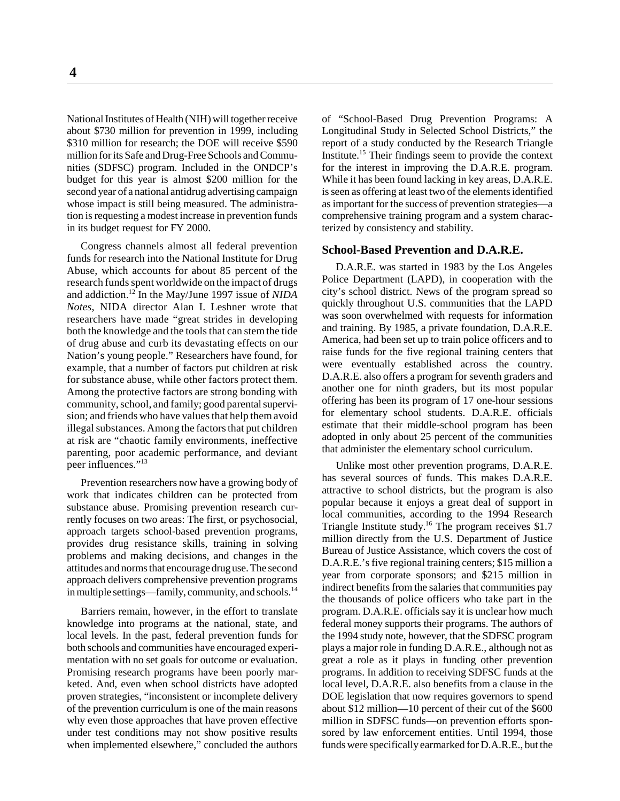National Institutes of Health (NIH) will together receive about \$730 million for prevention in 1999, including \$310 million for research; the DOE will receive \$590 million for its Safe and Drug-Free Schools and Communities (SDFSC) program. Included in the ONDCP's budget for this year is almost \$200 million for the second year of a national antidrug advertising campaign whose impact is still being measured. The administration is requesting a modest increase in prevention funds in its budget request for FY 2000.

Congress channels almost all federal prevention funds for research into the National Institute for Drug Abuse, which accounts for about 85 percent of the research funds spent worldwide on the impact of drugs and addiction.12 In the May/June 1997 issue of *NIDA Notes*, NIDA director Alan I. Leshner wrote that researchers have made "great strides in developing both the knowledge and the tools that can stem the tide of drug abuse and curb its devastating effects on our Nation's young people." Researchers have found, for example, that a number of factors put children at risk for substance abuse, while other factors protect them. Among the protective factors are strong bonding with community, school, and family; good parental supervision; and friends who have values that help them avoid illegal substances. Among the factors that put children at risk are "chaotic family environments, ineffective parenting, poor academic performance, and deviant peer influences."<sup>13</sup>

Prevention researchers now have a growing body of work that indicates children can be protected from substance abuse. Promising prevention research currently focuses on two areas: The first, or psychosocial, approach targets school-based prevention programs, provides drug resistance skills, training in solving problems and making decisions, and changes in the attitudes and norms that encourage drug use. The second approach delivers comprehensive prevention programs in multiple settings—family, community, and schools.<sup>14</sup>

Barriers remain, however, in the effort to translate knowledge into programs at the national, state, and local levels. In the past, federal prevention funds for both schools and communities have encouraged experimentation with no set goals for outcome or evaluation. Promising research programs have been poorly marketed. And, even when school districts have adopted proven strategies, "inconsistent or incomplete delivery of the prevention curriculum is one of the main reasons why even those approaches that have proven effective under test conditions may not show positive results when implemented elsewhere," concluded the authors of "School-Based Drug Prevention Programs: A Longitudinal Study in Selected School Districts," the report of a study conducted by the Research Triangle Institute.15 Their findings seem to provide the context for the interest in improving the D.A.R.E. program. While it has been found lacking in key areas, D.A.R.E. is seen as offering at least two of the elements identified as important for the success of prevention strategies—a comprehensive training program and a system characterized by consistency and stability.

#### **School-Based Prevention and D.A.R.E.**

D.A.R.E. was started in 1983 by the Los Angeles Police Department (LAPD), in cooperation with the city's school district. News of the program spread so quickly throughout U.S. communities that the LAPD was soon overwhelmed with requests for information and training. By 1985, a private foundation, D.A.R.E. America, had been set up to train police officers and to raise funds for the five regional training centers that were eventually established across the country. D.A.R.E. also offers a program for seventh graders and another one for ninth graders, but its most popular offering has been its program of 17 one-hour sessions for elementary school students. D.A.R.E. officials estimate that their middle-school program has been adopted in only about 25 percent of the communities that administer the elementary school curriculum.

Unlike most other prevention programs, D.A.R.E. has several sources of funds. This makes D.A.R.E. attractive to school districts, but the program is also popular because it enjoys a great deal of support in local communities, according to the 1994 Research Triangle Institute study.<sup>16</sup> The program receives \$1.7 million directly from the U.S. Department of Justice Bureau of Justice Assistance, which covers the cost of D.A.R.E.'s five regional training centers; \$15 million a year from corporate sponsors; and \$215 million in indirect benefits from the salaries that communities pay the thousands of police officers who take part in the program. D.A.R.E. officials say it is unclear how much federal money supports their programs. The authors of the 1994 study note, however, that the SDFSC program plays a major role in funding D.A.R.E., although not as great a role as it plays in funding other prevention programs. In addition to receiving SDFSC funds at the local level, D.A.R.E. also benefits from a clause in the DOE legislation that now requires governors to spend about \$12 million—10 percent of their cut of the \$600 million in SDFSC funds—on prevention efforts sponsored by law enforcement entities. Until 1994, those funds were specifically earmarked for D.A.R.E., but the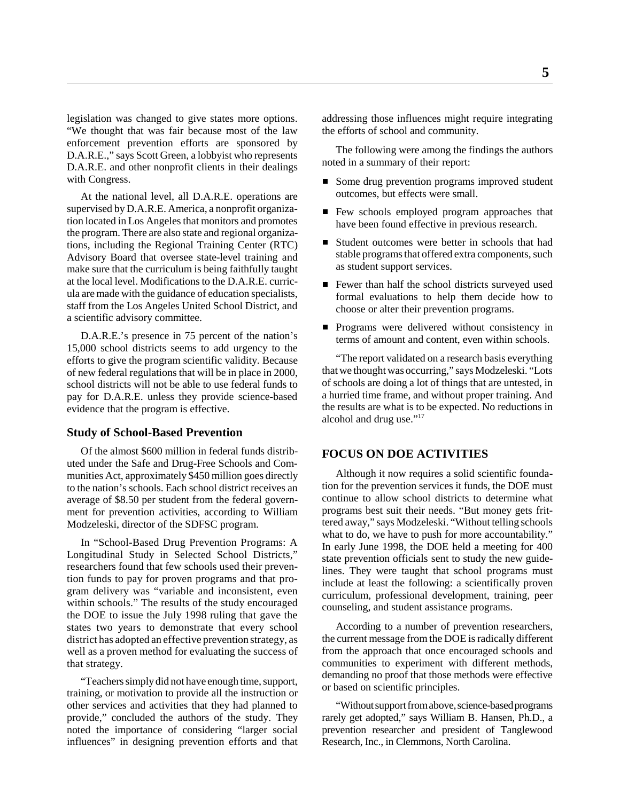legislation was changed to give states more options. "We thought that was fair because most of the law enforcement prevention efforts are sponsored by D.A.R.E.," says Scott Green, a lobbyist who represents D.A.R.E. and other nonprofit clients in their dealings with Congress.

At the national level, all D.A.R.E. operations are supervised by D.A.R.E. America, a nonprofit organization located in Los Angeles that monitors and promotes the program. There are also state and regional organizations, including the Regional Training Center (RTC) Advisory Board that oversee state-level training and make sure that the curriculum is being faithfully taught at the local level. Modifications to the D.A.R.E. curricula are made with the guidance of education specialists, staff from the Los Angeles United School District, and a scientific advisory committee.

D.A.R.E.'s presence in 75 percent of the nation's 15,000 school districts seems to add urgency to the efforts to give the program scientific validity. Because of new federal regulations that will be in place in 2000, school districts will not be able to use federal funds to pay for D.A.R.E. unless they provide science-based evidence that the program is effective.

## **Study of School-Based Prevention**

Of the almost \$600 million in federal funds distributed under the Safe and Drug-Free Schools and Communities Act, approximately \$450 million goes directly to the nation's schools. Each school district receives an average of \$8.50 per student from the federal government for prevention activities, according to William Modzeleski, director of the SDFSC program.

In "School-Based Drug Prevention Programs: A Longitudinal Study in Selected School Districts," researchers found that few schools used their prevention funds to pay for proven programs and that program delivery was "variable and inconsistent, even within schools." The results of the study encouraged the DOE to issue the July 1998 ruling that gave the states two years to demonstrate that every school district has adopted an effective prevention strategy, as well as a proven method for evaluating the success of that strategy.

"Teachers simply did not have enough time, support, training, or motivation to provide all the instruction or other services and activities that they had planned to provide," concluded the authors of the study. They noted the importance of considering "larger social influences" in designing prevention efforts and that addressing those influences might require integrating the efforts of school and community.

The following were among the findings the authors noted in a summary of their report:

- Some drug prevention programs improved student outcomes, but effects were small.
- Few schools employed program approaches that have been found effective in previous research.
- Student outcomes were better in schools that had stable programs that offered extra components, such as student support services.
- Fewer than half the school districts surveyed used formal evaluations to help them decide how to choose or alter their prevention programs.
- **Programs were delivered without consistency in** terms of amount and content, even within schools.

"The report validated on a research basis everything that we thought was occurring," says Modzeleski. "Lots of schools are doing a lot of things that are untested, in a hurried time frame, and without proper training. And the results are what is to be expected. No reductions in alcohol and drug use."<sup>17</sup>

#### **FOCUS ON DOE ACTIVITIES**

Although it now requires a solid scientific foundation for the prevention services it funds, the DOE must continue to allow school districts to determine what programs best suit their needs. "But money gets frittered away," says Modzeleski. "Without telling schools what to do, we have to push for more accountability." In early June 1998, the DOE held a meeting for 400 state prevention officials sent to study the new guidelines. They were taught that school programs must include at least the following: a scientifically proven curriculum, professional development, training, peer counseling, and student assistance programs.

According to a number of prevention researchers, the current message from the DOE is radically different from the approach that once encouraged schools and communities to experiment with different methods, demanding no proof that those methods were effective or based on scientific principles.

"Without support from above, science-based programs rarely get adopted," says William B. Hansen, Ph.D., a prevention researcher and president of Tanglewood Research, Inc., in Clemmons, North Carolina.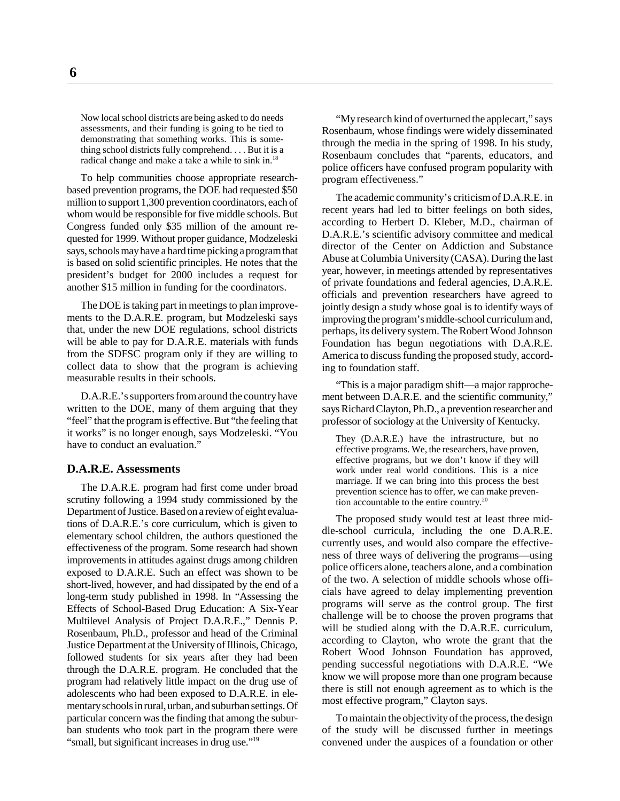Now local school districts are being asked to do needs assessments, and their funding is going to be tied to demonstrating that something works. This is something school districts fully comprehend. . . . But it is a radical change and make a take a while to sink in.<sup>18</sup>

To help communities choose appropriate researchbased prevention programs, the DOE had requested \$50 million to support 1,300 prevention coordinators, each of whom would be responsible for five middle schools. But Congress funded only \$35 million of the amount requested for 1999. Without proper guidance, Modzeleski says, schools may have a hard time picking a program that is based on solid scientific principles. He notes that the president's budget for 2000 includes a request for another \$15 million in funding for the coordinators.

The DOE is taking part in meetings to plan improvements to the D.A.R.E. program, but Modzeleski says that, under the new DOE regulations, school districts will be able to pay for D.A.R.E. materials with funds from the SDFSC program only if they are willing to collect data to show that the program is achieving measurable results in their schools.

D.A.R.E.'s supporters from around the country have written to the DOE, many of them arguing that they "feel" that the program is effective. But "the feeling that it works" is no longer enough, says Modzeleski. "You have to conduct an evaluation."

#### **D.A.R.E. Assessments**

The D.A.R.E. program had first come under broad scrutiny following a 1994 study commissioned by the Department of Justice. Based on a review of eight evaluations of D.A.R.E.'s core curriculum, which is given to elementary school children, the authors questioned the effectiveness of the program. Some research had shown improvements in attitudes against drugs among children exposed to D.A.R.E. Such an effect was shown to be short-lived, however, and had dissipated by the end of a long-term study published in 1998. In "Assessing the Effects of School-Based Drug Education: A Six-Year Multilevel Analysis of Project D.A.R.E.," Dennis P. Rosenbaum, Ph.D., professor and head of the Criminal Justice Department at the University of Illinois, Chicago, followed students for six years after they had been through the D.A.R.E. program. He concluded that the program had relatively little impact on the drug use of adolescents who had been exposed to D.A.R.E. in elementary schools in rural, urban, and suburban settings. Of particular concern was the finding that among the suburban students who took part in the program there were "small, but significant increases in drug use."<sup>19</sup>

"My research kind of overturned the applecart," says Rosenbaum, whose findings were widely disseminated through the media in the spring of 1998. In his study, Rosenbaum concludes that "parents, educators, and police officers have confused program popularity with program effectiveness."

The academic community's criticism of D.A.R.E. in recent years had led to bitter feelings on both sides, according to Herbert D. Kleber, M.D., chairman of D.A.R.E.'s scientific advisory committee and medical director of the Center on Addiction and Substance Abuse at Columbia University (CASA). During the last year, however, in meetings attended by representatives of private foundations and federal agencies, D.A.R.E. officials and prevention researchers have agreed to jointly design a study whose goal is to identify ways of improving the program's middle-school curriculum and, perhaps, its delivery system. The Robert Wood Johnson Foundation has begun negotiations with D.A.R.E. America to discuss funding the proposed study, according to foundation staff.

"This is a major paradigm shift—a major rapprochement between D.A.R.E. and the scientific community," says Richard Clayton, Ph.D., a prevention researcher and professor of sociology at the University of Kentucky.

They (D.A.R.E.) have the infrastructure, but no effective programs. We, the researchers, have proven, effective programs, but we don't know if they will work under real world conditions. This is a nice marriage. If we can bring into this process the best prevention science has to offer, we can make prevention accountable to the entire country.<sup>20</sup>

The proposed study would test at least three middle-school curricula, including the one D.A.R.E. currently uses, and would also compare the effectiveness of three ways of delivering the programs—using police officers alone, teachers alone, and a combination of the two. A selection of middle schools whose officials have agreed to delay implementing prevention programs will serve as the control group. The first challenge will be to choose the proven programs that will be studied along with the D.A.R.E. curriculum, according to Clayton, who wrote the grant that the Robert Wood Johnson Foundation has approved, pending successful negotiations with D.A.R.E. "We know we will propose more than one program because there is still not enough agreement as to which is the most effective program," Clayton says.

To maintain the objectivity of the process, the design of the study will be discussed further in meetings convened under the auspices of a foundation or other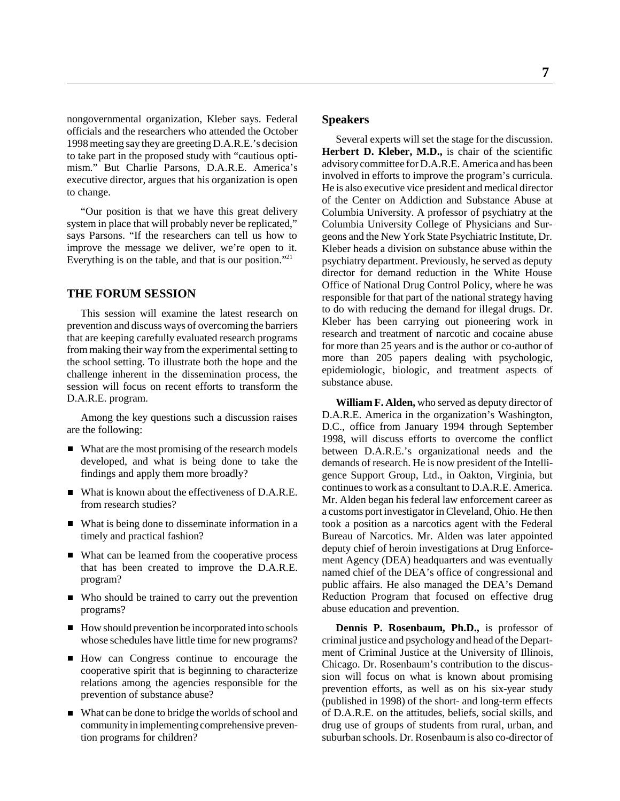nongovernmental organization, Kleber says. Federal officials and the researchers who attended the October 1998 meeting say they are greeting D.A.R.E.'s decision to take part in the proposed study with "cautious optimism." But Charlie Parsons, D.A.R.E. America's executive director, argues that his organization is open to change.

"Our position is that we have this great delivery system in place that will probably never be replicated," says Parsons. "If the researchers can tell us how to improve the message we deliver, we're open to it. Everything is on the table, and that is our position."21

# **THE FORUM SESSION**

This session will examine the latest research on prevention and discuss ways of overcoming the barriers that are keeping carefully evaluated research programs from making their way from the experimental setting to the school setting. To illustrate both the hope and the challenge inherent in the dissemination process, the session will focus on recent efforts to transform the D.A.R.E. program.

Among the key questions such a discussion raises are the following:

- What are the most promising of the research models developed, and what is being done to take the findings and apply them more broadly?
- What is known about the effectiveness of D.A.R.E. from research studies?
- What is being done to disseminate information in a timely and practical fashion?
- What can be learned from the cooperative process that has been created to improve the D.A.R.E. program?
- Who should be trained to carry out the prevention programs?
- How should prevention be incorporated into schools whose schedules have little time for new programs?
- How can Congress continue to encourage the cooperative spirit that is beginning to characterize relations among the agencies responsible for the prevention of substance abuse?
- What can be done to bridge the worlds of school and community in implementing comprehensive prevention programs for children?

#### **Speakers**

Several experts will set the stage for the discussion. Herbert D. Kleber, M.D., is chair of the scientific advisory committee for D.A.R.E. America and has been involved in efforts to improve the program's curricula. He is also executive vice president and medical director of the Center on Addiction and Substance Abuse at Columbia University. A professor of psychiatry at the Columbia University College of Physicians and Surgeons and the New York State Psychiatric Institute, Dr. Kleber heads a division on substance abuse within the psychiatry department. Previously, he served as deputy director for demand reduction in the White House Office of National Drug Control Policy, where he was responsible for that part of the national strategy having to do with reducing the demand for illegal drugs. Dr. Kleber has been carrying out pioneering work in research and treatment of narcotic and cocaine abuse for more than 25 years and is the author or co-author of more than 205 papers dealing with psychologic, epidemiologic, biologic, and treatment aspects of substance abuse.

**William F. Alden,** who served as deputy director of D.A.R.E. America in the organization's Washington, D.C., office from January 1994 through September 1998, will discuss efforts to overcome the conflict between D.A.R.E.'s organizational needs and the demands of research. He is now president of the Intelligence Support Group, Ltd., in Oakton, Virginia, but continues to work as a consultant to D.A.R.E. America. Mr. Alden began his federal law enforcement career as a customs port investigator in Cleveland, Ohio. He then took a position as a narcotics agent with the Federal Bureau of Narcotics. Mr. Alden was later appointed deputy chief of heroin investigations at Drug Enforcement Agency (DEA) headquarters and was eventually named chief of the DEA's office of congressional and public affairs. He also managed the DEA's Demand Reduction Program that focused on effective drug abuse education and prevention.

**Dennis P. Rosenbaum, Ph.D.,** is professor of criminal justice and psychology and head of the Department of Criminal Justice at the University of Illinois, Chicago. Dr. Rosenbaum's contribution to the discussion will focus on what is known about promising prevention efforts, as well as on his six-year study (published in 1998) of the short- and long-term effects of D.A.R.E. on the attitudes, beliefs, social skills, and drug use of groups of students from rural, urban, and suburban schools. Dr. Rosenbaum is also co-director of